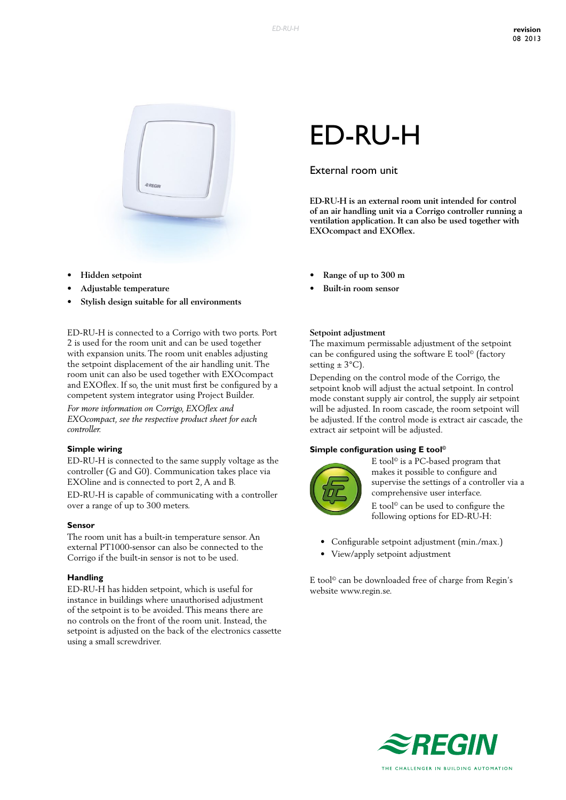

- **• Hidden setpoint**
- **• Adjustable temperature**
- **• Stylish design suitable for all environments**

ED-RU-H is connected to a Corrigo with two ports. Port 2 is used for the room unit and can be used together with expansion units. The room unit enables adjusting the setpoint displacement of the air handling unit. The room unit can also be used together with EXOcompact and EXOflex. If so, the unit must first be configured by a competent system integrator using Project Builder.

*For more information on Corrigo, EXOflex and EXOcompact, see the respective product sheet for each controller.*

#### **Simple wiring**

ED-RU-H is connected to the same supply voltage as the controller (G and G0). Communication takes place via EXOline and is connected to port 2, A and B.

ED-RU-H is capable of communicating with a controller over a range of up to 300 meters.

#### **Sensor**

The room unit has a built-in temperature sensor. An external PT1000-sensor can also be connected to the Corrigo if the built-in sensor is not to be used.

#### **Handling**

ED-RU-H has hidden setpoint, which is useful for instance in buildings where unauthorised adjustment of the setpoint is to be avoided. This means there are no controls on the front of the room unit. Instead, the setpoint is adjusted on the back of the electronics cassette using a small screwdriver.

# ED-RU-H

## External room unit

**ED-RU-H is an external room unit intended for control of an air handling unit via a Corrigo controller running a ventilation application. It can also be used together with EXOcompact and EXOflex.**

- **• Range of up to 300 m**
- **• Built-in room sensor**

#### **Setpoint adjustment**

The maximum permissable adjustment of the setpoint can be configured using the software E tool© (factory setting  $\pm$  3°C).

Depending on the control mode of the Corrigo, the setpoint knob will adjust the actual setpoint. In control mode constant supply air control, the supply air setpoint will be adjusted. In room cascade, the room setpoint will be adjusted. If the control mode is extract air cascade, the extract air setpoint will be adjusted.

#### **Simple configuration using E tool©**



E tool© is a PC-based program that makes it possible to configure and supervise the settings of a controller via a comprehensive user interface. E tool© can be used to configure the

following options for ED-RU-H:

- Configurable setpoint adjustment (min./max.)
- View/apply setpoint adjustment

E tool© can be downloaded free of charge from Regin's website www.regin.se.